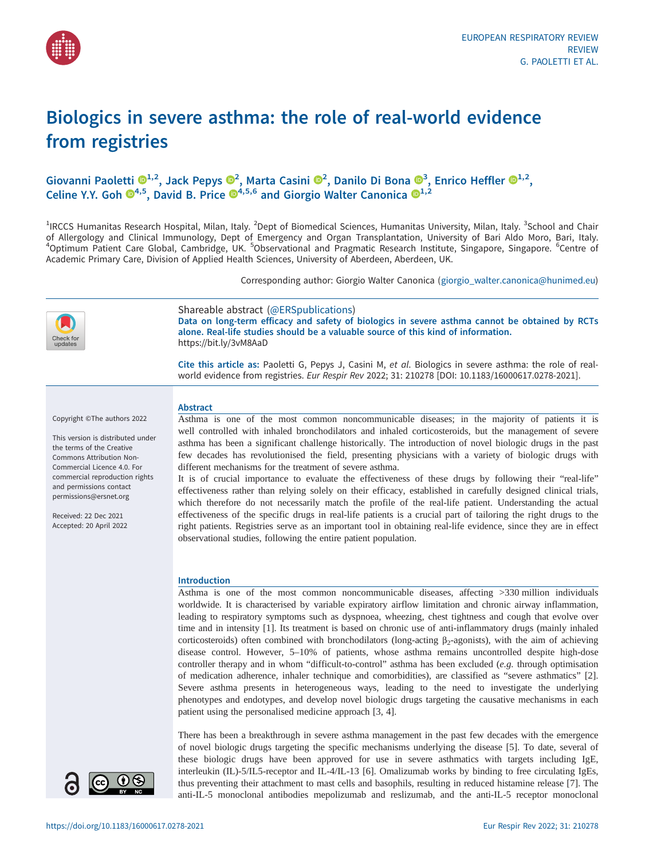

# Biologics in severe asthma: the role of real-world evidence from registries

# Giovanni Paoletti  $\mathbf{D}^{1,2}$  $\mathbf{D}^{1,2}$  $\mathbf{D}^{1,2}$  $\mathbf{D}^{1,2}$  $\mathbf{D}^{1,2}$ , Jack Pepys  $\mathbf{D}^2$ , Marta Casini  $\mathbf{D}^2$ , Danilo Di Bona  $\mathbf{D}^3$  $\mathbf{D}^3$ , Enrico Heffler  $\mathbf{D}^{1,2}$ , Celine Y.Y. Goh  $\mathbb{O}^{4,5}$  $\mathbb{O}^{4,5}$  $\mathbb{O}^{4,5}$ , David B. Price  $\mathbb{O}^{4,5,6}$  and Giorgio Walter Canonica  $\mathbb{O}^{1,2}$

<sup>1</sup>IRCCS Humanitas Research Hospital, Milan, Italy. <sup>2</sup>Dept of Biomedical Sciences, Humanitas University, Milan, Italy. <sup>3</sup>School and Chair of Allergology and Clinical Immunology, Dept of Emergency and Organ Transplantation, University of Bari Aldo Moro, Bari, Italy. <sup>4</sup>Optimum Patient Care Global, Cambridge, UK. <sup>5</sup>Observational and Pragmatic Research Institute, Singapore, Singapore. <sup>6</sup>Centre of Academic Primary Care, Division of Applied Health Sciences, University of Aberdeen, Aberdeen, UK.

Corresponding author: Giorgio Walter Canonica [\(giorgio\\_walter.canonica@hunimed.eu](mailto:giorgio_walter.canonica@hunimed.eu))



Shareable abstract (@ERSpublications) Data on long-term efficacy and safety of biologics in severe asthma cannot be obtained by RCTs alone. Real-life studies should be a valuable source of this kind of information. <https://bit.ly/3vM8AaD>

Cite this article as: Paoletti G, Pepys J, Casini M, et al. Biologics in severe asthma: the role of realworld evidence from registries. Eur Respir Rev 2022; 31: 210278 [\[DOI: 10.1183/16000617.0278-2021\].](https://doi.org/10.1183/16000617.0278-2021)

Copyright ©The authors 2022

This version is distributed under the terms of the Creative Commons Attribution Non-Commercial Licence 4.0. For commercial reproduction rights and permissions contact [permissions@ersnet.org](mailto:permissions@ersnet.org)

Received: 22 Dec 2021 Accepted: 20 April 2022

# **Abstract**

Asthma is one of the most common noncommunicable diseases; in the majority of patients it is well controlled with inhaled bronchodilators and inhaled corticosteroids, but the management of severe asthma has been a significant challenge historically. The introduction of novel biologic drugs in the past few decades has revolutionised the field, presenting physicians with a variety of biologic drugs with different mechanisms for the treatment of severe asthma.

It is of crucial importance to evaluate the effectiveness of these drugs by following their "real-life" effectiveness rather than relying solely on their efficacy, established in carefully designed clinical trials, which therefore do not necessarily match the profile of the real-life patient. Understanding the actual effectiveness of the specific drugs in real-life patients is a crucial part of tailoring the right drugs to the right patients. Registries serve as an important tool in obtaining real-life evidence, since they are in effect observational studies, following the entire patient population.

#### Introduction

Asthma is one of the most common noncommunicable diseases, affecting >330 million individuals worldwide. It is characterised by variable expiratory airflow limitation and chronic airway inflammation, leading to respiratory symptoms such as dyspnoea, wheezing, chest tightness and cough that evolve over time and in intensity [[1](#page-6-0)]. Its treatment is based on chronic use of anti-inflammatory drugs (mainly inhaled corticosteroids) often combined with bronchodilators (long-acting  $\beta_2$ -agonists), with the aim of achieving disease control. However, 5–10% of patients, whose asthma remains uncontrolled despite high-dose controller therapy and in whom "difficult-to-control" asthma has been excluded (e.g. through optimisation of medication adherence, inhaler technique and comorbidities), are classified as "severe asthmatics" [\[2\]](#page-6-0). Severe asthma presents in heterogeneous ways, leading to the need to investigate the underlying phenotypes and endotypes, and develop novel biologic drugs targeting the causative mechanisms in each patient using the personalised medicine approach [\[3, 4](#page-6-0)].

There has been a breakthrough in severe asthma management in the past few decades with the emergence of novel biologic drugs targeting the specific mechanisms underlying the disease [\[5](#page-6-0)]. To date, several of these biologic drugs have been approved for use in severe asthmatics with targets including IgE, interleukin (IL)-5/IL5-receptor and IL-4/IL-13 [[6](#page-6-0)]. Omalizumab works by binding to free circulating IgEs, thus preventing their attachment to mast cells and basophils, resulting in reduced histamine release [[7](#page-6-0)]. The anti-IL-5 monoclonal antibodies mepolizumab and reslizumab, and the anti-IL-5 receptor monoclonal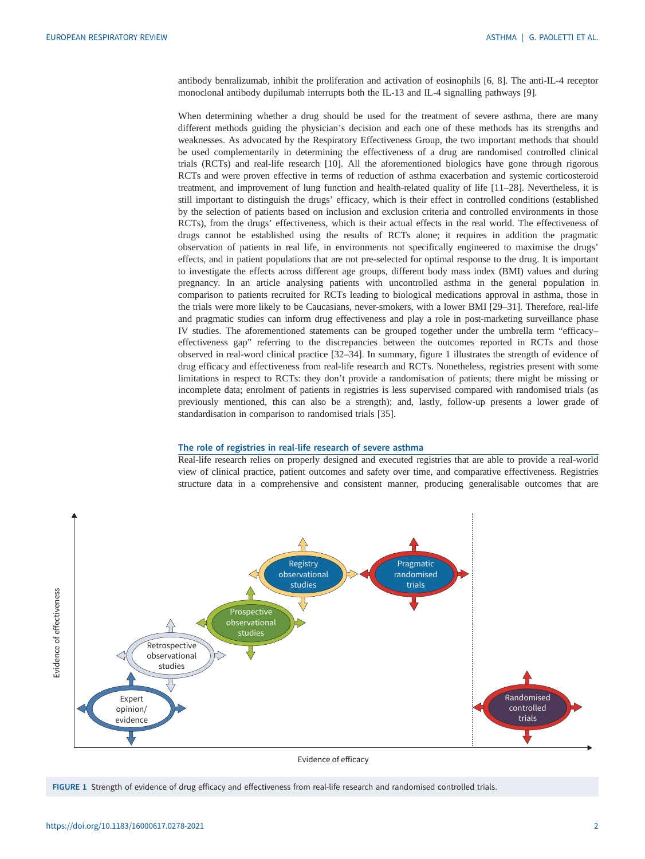antibody benralizumab, inhibit the proliferation and activation of eosinophils [[6](#page-6-0), [8\]](#page-6-0). The anti-IL-4 receptor monoclonal antibody dupilumab interrupts both the IL-13 and IL-4 signalling pathways [[9](#page-6-0)].

When determining whether a drug should be used for the treatment of severe asthma, there are many different methods guiding the physician's decision and each one of these methods has its strengths and weaknesses. As advocated by the Respiratory Effectiveness Group, the two important methods that should be used complementarily in determining the effectiveness of a drug are randomised controlled clinical trials (RCTs) and real-life research [[10\]](#page-6-0). All the aforementioned biologics have gone through rigorous RCTs and were proven effective in terms of reduction of asthma exacerbation and systemic corticosteroid treatment, and improvement of lung function and health-related quality of life [[11](#page-6-0)–[28](#page-7-0)]. Nevertheless, it is still important to distinguish the drugs' efficacy, which is their effect in controlled conditions (established by the selection of patients based on inclusion and exclusion criteria and controlled environments in those RCTs), from the drugs' effectiveness, which is their actual effects in the real world. The effectiveness of drugs cannot be established using the results of RCTs alone; it requires in addition the pragmatic observation of patients in real life, in environments not specifically engineered to maximise the drugs' effects, and in patient populations that are not pre-selected for optimal response to the drug. It is important to investigate the effects across different age groups, different body mass index (BMI) values and during pregnancy. In an article analysing patients with uncontrolled asthma in the general population in comparison to patients recruited for RCTs leading to biological medications approval in asthma, those in the trials were more likely to be Caucasians, never-smokers, with a lower BMI [\[29](#page-7-0)–[31\]](#page-7-0). Therefore, real-life and pragmatic studies can inform drug effectiveness and play a role in post-marketing surveillance phase IV studies. The aforementioned statements can be grouped together under the umbrella term "efficacy– effectiveness gap" referring to the discrepancies between the outcomes reported in RCTs and those observed in real-word clinical practice [[32](#page-7-0)–[34](#page-7-0)]. In summary, figure 1 illustrates the strength of evidence of drug efficacy and effectiveness from real-life research and RCTs. Nonetheless, registries present with some limitations in respect to RCTs: they don't provide a randomisation of patients; there might be missing or incomplete data; enrolment of patients in registries is less supervised compared with randomised trials (as previously mentioned, this can also be a strength); and, lastly, follow-up presents a lower grade of standardisation in comparison to randomised trials [[35\]](#page-7-0).

#### The role of registries in real-life research of severe asthma

Real-life research relies on properly designed and executed registries that are able to provide a real-world view of clinical practice, patient outcomes and safety over time, and comparative effectiveness. Registries structure data in a comprehensive and consistent manner, producing generalisable outcomes that are



Evidence of efficacy

FIGURE 1 Strength of evidence of drug efficacy and effectiveness from real-life research and randomised controlled trials.

Evidence of effectiveness

Evidence of effectiveness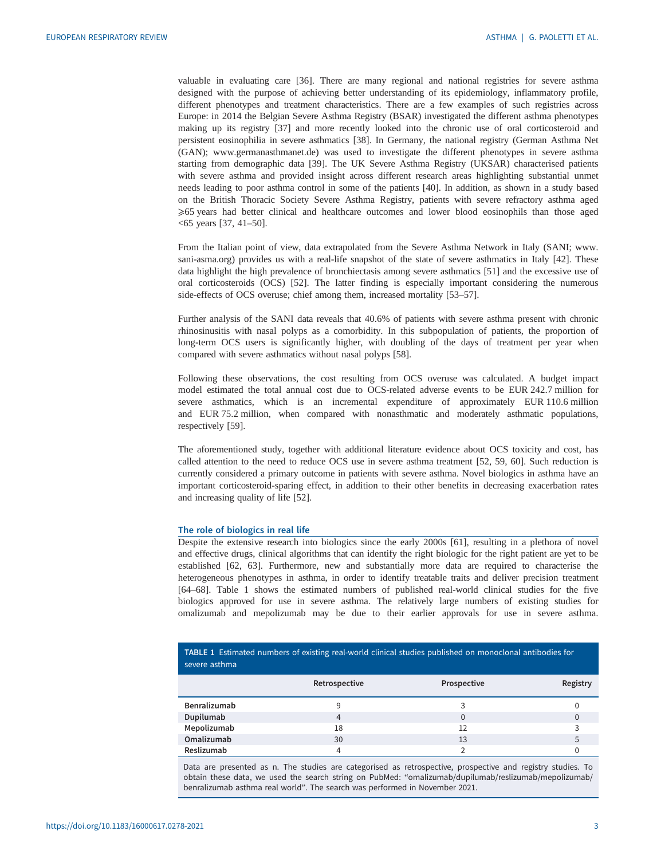valuable in evaluating care [\[36](#page-7-0)]. There are many regional and national registries for severe asthma designed with the purpose of achieving better understanding of its epidemiology, inflammatory profile, different phenotypes and treatment characteristics. There are a few examples of such registries across Europe: in 2014 the Belgian Severe Asthma Registry (BSAR) investigated the different asthma phenotypes making up its registry [[37\]](#page-7-0) and more recently looked into the chronic use of oral corticosteroid and persistent eosinophilia in severe asthmatics [\[38](#page-7-0)]. In Germany, the national registry (German Asthma Net (GAN); [www.germanasthmanet.de\)](http://www.germanasthmanet.de) was used to investigate the different phenotypes in severe asthma starting from demographic data [\[39](#page-7-0)]. The UK Severe Asthma Registry (UKSAR) characterised patients with severe asthma and provided insight across different research areas highlighting substantial unmet needs leading to poor asthma control in some of the patients [\[40](#page-8-0)]. In addition, as shown in a study based on the British Thoracic Society Severe Asthma Registry, patients with severe refractory asthma aged ⩾65 years had better clinical and healthcare outcomes and lower blood eosinophils than those aged <65 years [\[37](#page-7-0), [41](#page-8-0)–[50\]](#page-8-0).

From the Italian point of view, data extrapolated from the Severe Asthma Network in Italy (SANI; [www.](http://www.sani-asma.org) [sani-asma.org](http://www.sani-asma.org)) provides us with a real-life snapshot of the state of severe asthmatics in Italy [[42\]](#page-8-0). These data highlight the high prevalence of bronchiectasis among severe asthmatics [[51\]](#page-8-0) and the excessive use of oral corticosteroids (OCS) [[52\]](#page-8-0). The latter finding is especially important considering the numerous side-effects of OCS overuse; chief among them, increased mortality [\[53](#page-8-0)–[57](#page-8-0)].

Further analysis of the SANI data reveals that 40.6% of patients with severe asthma present with chronic rhinosinusitis with nasal polyps as a comorbidity. In this subpopulation of patients, the proportion of long-term OCS users is significantly higher, with doubling of the days of treatment per year when compared with severe asthmatics without nasal polyps [[58\]](#page-8-0).

Following these observations, the cost resulting from OCS overuse was calculated. A budget impact model estimated the total annual cost due to OCS-related adverse events to be EUR 242.7 million for severe asthmatics, which is an incremental expenditure of approximately EUR 110.6 million and EUR 75.2 million, when compared with nonasthmatic and moderately asthmatic populations, respectively [[59\]](#page-8-0).

The aforementioned study, together with additional literature evidence about OCS toxicity and cost, has called attention to the need to reduce OCS use in severe asthma treatment [[52, 59](#page-8-0), [60\]](#page-8-0). Such reduction is currently considered a primary outcome in patients with severe asthma. Novel biologics in asthma have an important corticosteroid-sparing effect, in addition to their other benefits in decreasing exacerbation rates and increasing quality of life [[52\]](#page-8-0).

# The role of biologics in real life

Despite the extensive research into biologics since the early 2000s [\[61](#page-8-0)], resulting in a plethora of novel and effective drugs, clinical algorithms that can identify the right biologic for the right patient are yet to be established [\[62](#page-8-0), [63\]](#page-8-0). Furthermore, new and substantially more data are required to characterise the heterogeneous phenotypes in asthma, in order to identify treatable traits and deliver precision treatment [\[64](#page-8-0)–[68\]](#page-9-0). Table 1 shows the estimated numbers of published real-world clinical studies for the five biologics approved for use in severe asthma. The relatively large numbers of existing studies for omalizumab and mepolizumab may be due to their earlier approvals for use in severe asthma.

| TABLE 1 Estimated numbers of existing real-world clinical studies published on monoclonal antibodies for<br>severe asthma |               |             |          |
|---------------------------------------------------------------------------------------------------------------------------|---------------|-------------|----------|
|                                                                                                                           | Retrospective | Prospective | Registry |
| Benralizumab                                                                                                              | 9             | 3           |          |
| Dupilumab                                                                                                                 | 4             | $\Omega$    | 0        |
| Mepolizumab                                                                                                               | 18            | 12          | ς        |
| Omalizumab                                                                                                                | 30            | 13          |          |
| Reslizumab                                                                                                                | 4             | C           |          |

Data are presented as n. The studies are categorised as retrospective, prospective and registry studies. To obtain these data, we used the search string on PubMed: "omalizumab/dupilumab/reslizumab/mepolizumab/ benralizumab asthma real world". The search was performed in November 2021.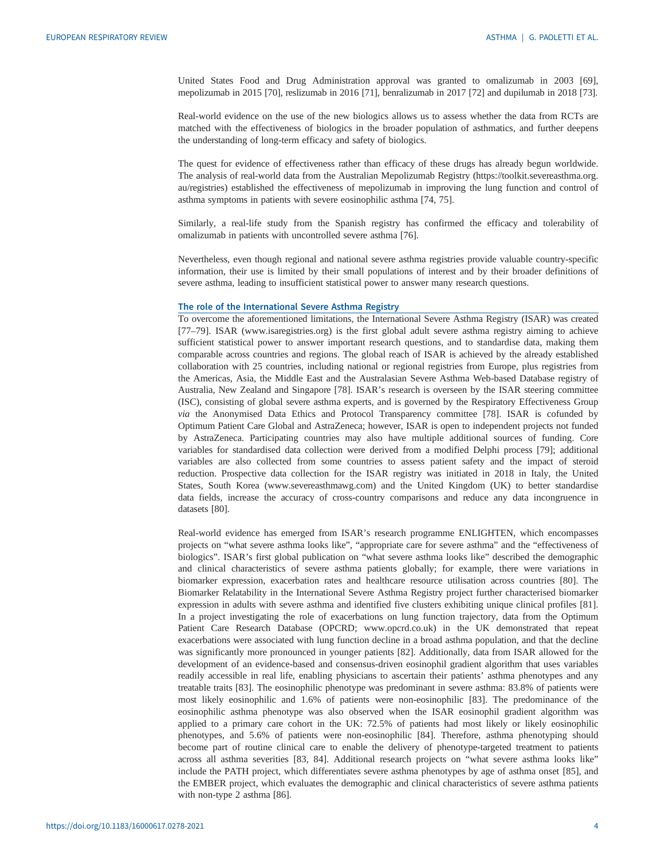United States Food and Drug Administration approval was granted to omalizumab in 2003 [[69\]](#page-9-0), mepolizumab in 2015 [\[70](#page-9-0)], reslizumab in 2016 [\[71\]](#page-9-0), benralizumab in 2017 [[72\]](#page-9-0) and dupilumab in 2018 [\[73](#page-9-0)].

Real-world evidence on the use of the new biologics allows us to assess whether the data from RCTs are matched with the effectiveness of biologics in the broader population of asthmatics, and further deepens the understanding of long-term efficacy and safety of biologics.

The quest for evidence of effectiveness rather than efficacy of these drugs has already begun worldwide. The analysis of real-world data from the Australian Mepolizumab Registry ([https://toolkit.severeasthma.org.](https://toolkit.severeasthma.org.au/registries) [au/registries](https://toolkit.severeasthma.org.au/registries)) established the effectiveness of mepolizumab in improving the lung function and control of asthma symptoms in patients with severe eosinophilic asthma [[74, 75\]](#page-9-0).

Similarly, a real-life study from the Spanish registry has confirmed the efficacy and tolerability of omalizumab in patients with uncontrolled severe asthma [[76\]](#page-9-0).

Nevertheless, even though regional and national severe asthma registries provide valuable country-specific information, their use is limited by their small populations of interest and by their broader definitions of severe asthma, leading to insufficient statistical power to answer many research questions.

# The role of the International Severe Asthma Registry

To overcome the aforementioned limitations, the International Severe Asthma Registry (ISAR) was created [\[77](#page-9-0)–[79\]](#page-9-0). ISAR [\(www.isaregistries.org\)](http://www.isaregistries.org) is the first global adult severe asthma registry aiming to achieve sufficient statistical power to answer important research questions, and to standardise data, making them comparable across countries and regions. The global reach of ISAR is achieved by the already established collaboration with 25 countries, including national or regional registries from Europe, plus registries from the Americas, Asia, the Middle East and the Australasian Severe Asthma Web-based Database registry of Australia, New Zealand and Singapore [[78\]](#page-9-0). ISAR's research is overseen by the ISAR steering committee (ISC), consisting of global severe asthma experts, and is governed by the Respiratory Effectiveness Group via the Anonymised Data Ethics and Protocol Transparency committee [\[78](#page-9-0)]. ISAR is cofunded by Optimum Patient Care Global and AstraZeneca; however, ISAR is open to independent projects not funded by AstraZeneca. Participating countries may also have multiple additional sources of funding. Core variables for standardised data collection were derived from a modified Delphi process [[79\]](#page-9-0); additional variables are also collected from some countries to assess patient safety and the impact of steroid reduction. Prospective data collection for the ISAR registry was initiated in 2018 in Italy, the United States, South Korea [\(www.severeasthmawg.com](http://www.severeasthmawg.com)) and the United Kingdom (UK) to better standardise data fields, increase the accuracy of cross-country comparisons and reduce any data incongruence in datasets [\[80](#page-9-0)].

Real-world evidence has emerged from ISAR's research programme ENLIGHTEN, which encompasses projects on "what severe asthma looks like", "appropriate care for severe asthma" and the "effectiveness of biologics". ISAR's first global publication on "what severe asthma looks like" described the demographic and clinical characteristics of severe asthma patients globally; for example, there were variations in biomarker expression, exacerbation rates and healthcare resource utilisation across countries [\[80](#page-9-0)]. The Biomarker Relatability in the International Severe Asthma Registry project further characterised biomarker expression in adults with severe asthma and identified five clusters exhibiting unique clinical profiles [[81\]](#page-9-0). In a project investigating the role of exacerbations on lung function trajectory, data from the Optimum Patient Care Research Database (OPCRD; [www.opcrd.co.uk](http://www.opcrd.co.uk)) in the UK demonstrated that repeat exacerbations were associated with lung function decline in a broad asthma population, and that the decline was significantly more pronounced in younger patients [[82\]](#page-9-0). Additionally, data from ISAR allowed for the development of an evidence-based and consensus-driven eosinophil gradient algorithm that uses variables readily accessible in real life, enabling physicians to ascertain their patients' asthma phenotypes and any treatable traits [\[83](#page-9-0)]. The eosinophilic phenotype was predominant in severe asthma: 83.8% of patients were most likely eosinophilic and 1.6% of patients were non-eosinophilic [\[83](#page-9-0)]. The predominance of the eosinophilic asthma phenotype was also observed when the ISAR eosinophil gradient algorithm was applied to a primary care cohort in the UK: 72.5% of patients had most likely or likely eosinophilic phenotypes, and 5.6% of patients were non-eosinophilic [\[84](#page-9-0)]. Therefore, asthma phenotyping should become part of routine clinical care to enable the delivery of phenotype-targeted treatment to patients across all asthma severities [\[83](#page-9-0), [84\]](#page-9-0). Additional research projects on "what severe asthma looks like" include the PATH project, which differentiates severe asthma phenotypes by age of asthma onset [[85\]](#page-9-0), and the EMBER project, which evaluates the demographic and clinical characteristics of severe asthma patients with non-type 2 asthma [\[86](#page-9-0)].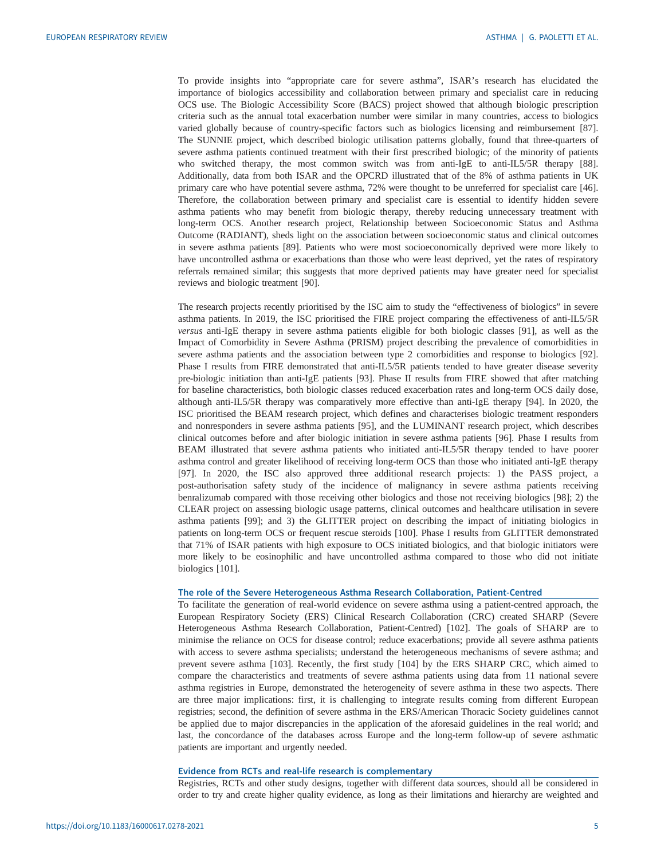To provide insights into "appropriate care for severe asthma", ISAR's research has elucidated the importance of biologics accessibility and collaboration between primary and specialist care in reducing OCS use. The Biologic Accessibility Score (BACS) project showed that although biologic prescription criteria such as the annual total exacerbation number were similar in many countries, access to biologics varied globally because of country-specific factors such as biologics licensing and reimbursement [[87\]](#page-9-0). The SUNNIE project, which described biologic utilisation patterns globally, found that three-quarters of severe asthma patients continued treatment with their first prescribed biologic; of the minority of patients who switched therapy, the most common switch was from anti-IgE to anti-IL5/5R therapy [[88\]](#page-9-0). Additionally, data from both ISAR and the OPCRD illustrated that of the 8% of asthma patients in UK primary care who have potential severe asthma, 72% were thought to be unreferred for specialist care [[46\]](#page-8-0). Therefore, the collaboration between primary and specialist care is essential to identify hidden severe asthma patients who may benefit from biologic therapy, thereby reducing unnecessary treatment with long-term OCS. Another research project, Relationship between Socioeconomic Status and Asthma Outcome (RADIANT), sheds light on the association between socioeconomic status and clinical outcomes in severe asthma patients [\[89](#page-9-0)]. Patients who were most socioeconomically deprived were more likely to have uncontrolled asthma or exacerbations than those who were least deprived, yet the rates of respiratory referrals remained similar; this suggests that more deprived patients may have greater need for specialist reviews and biologic treatment [\[90](#page-9-0)].

The research projects recently prioritised by the ISC aim to study the "effectiveness of biologics" in severe asthma patients. In 2019, the ISC prioritised the FIRE project comparing the effectiveness of anti-IL5/5R versus anti-IgE therapy in severe asthma patients eligible for both biologic classes [\[91](#page-9-0)], as well as the Impact of Comorbidity in Severe Asthma (PRISM) project describing the prevalence of comorbidities in severe asthma patients and the association between type 2 comorbidities and response to biologics [[92\]](#page-9-0). Phase I results from FIRE demonstrated that anti-IL5/5R patients tended to have greater disease severity pre-biologic initiation than anti-IgE patients [\[93](#page-9-0)]. Phase II results from FIRE showed that after matching for baseline characteristics, both biologic classes reduced exacerbation rates and long-term OCS daily dose, although anti-IL5/5R therapy was comparatively more effective than anti-IgE therapy [[94\]](#page-9-0). In 2020, the ISC prioritised the BEAM research project, which defines and characterises biologic treatment responders and nonresponders in severe asthma patients [[95\]](#page-9-0), and the LUMINANT research project, which describes clinical outcomes before and after biologic initiation in severe asthma patients [[96\]](#page-10-0). Phase I results from BEAM illustrated that severe asthma patients who initiated anti-IL5/5R therapy tended to have poorer asthma control and greater likelihood of receiving long-term OCS than those who initiated anti-IgE therapy [\[97](#page-10-0)]. In 2020, the ISC also approved three additional research projects: 1) the PASS project, a post-authorisation safety study of the incidence of malignancy in severe asthma patients receiving benralizumab compared with those receiving other biologics and those not receiving biologics [\[98](#page-10-0)]; 2) the CLEAR project on assessing biologic usage patterns, clinical outcomes and healthcare utilisation in severe asthma patients [[99\]](#page-10-0); and 3) the GLITTER project on describing the impact of initiating biologics in patients on long-term OCS or frequent rescue steroids [\[100\]](#page-10-0). Phase I results from GLITTER demonstrated that 71% of ISAR patients with high exposure to OCS initiated biologics, and that biologic initiators were more likely to be eosinophilic and have uncontrolled asthma compared to those who did not initiate biologics [[101](#page-10-0)].

# The role of the Severe Heterogeneous Asthma Research Collaboration, Patient-Centred

To facilitate the generation of real-world evidence on severe asthma using a patient-centred approach, the European Respiratory Society (ERS) Clinical Research Collaboration (CRC) created SHARP (Severe Heterogeneous Asthma Research Collaboration, Patient-Centred) [[102](#page-10-0)]. The goals of SHARP are to minimise the reliance on OCS for disease control; reduce exacerbations; provide all severe asthma patients with access to severe asthma specialists; understand the heterogeneous mechanisms of severe asthma; and prevent severe asthma [\[103\]](#page-10-0). Recently, the first study [\[104\]](#page-10-0) by the ERS SHARP CRC, which aimed to compare the characteristics and treatments of severe asthma patients using data from 11 national severe asthma registries in Europe, demonstrated the heterogeneity of severe asthma in these two aspects. There are three major implications: first, it is challenging to integrate results coming from different European registries; second, the definition of severe asthma in the ERS/American Thoracic Society guidelines cannot be applied due to major discrepancies in the application of the aforesaid guidelines in the real world; and last, the concordance of the databases across Europe and the long-term follow-up of severe asthmatic patients are important and urgently needed.

### Evidence from RCTs and real-life research is complementary

Registries, RCTs and other study designs, together with different data sources, should all be considered in order to try and create higher quality evidence, as long as their limitations and hierarchy are weighted and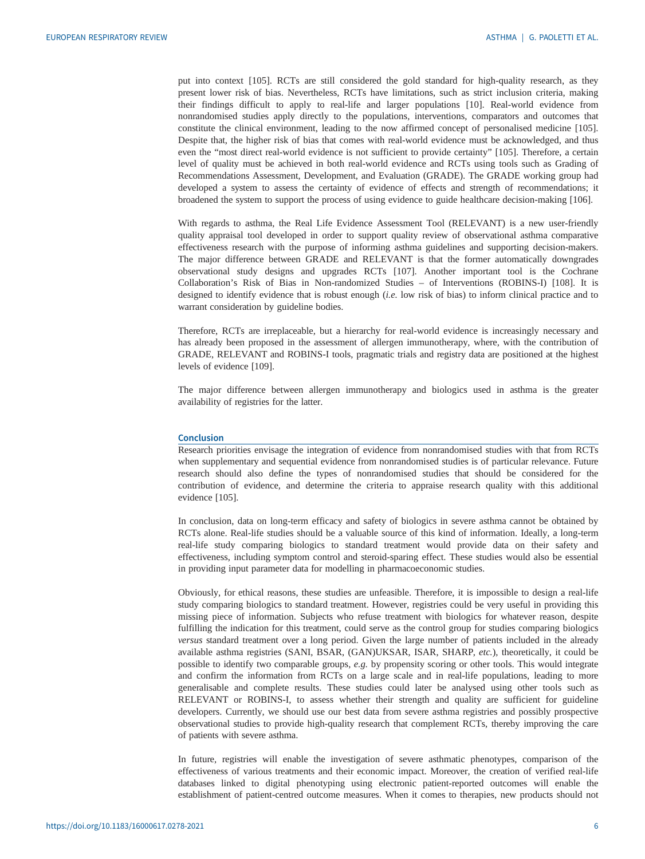put into context [[105](#page-10-0)]. RCTs are still considered the gold standard for high-quality research, as they present lower risk of bias. Nevertheless, RCTs have limitations, such as strict inclusion criteria, making their findings difficult to apply to real-life and larger populations [\[10](#page-6-0)]. Real-world evidence from nonrandomised studies apply directly to the populations, interventions, comparators and outcomes that constitute the clinical environment, leading to the now affirmed concept of personalised medicine [\[105\]](#page-10-0). Despite that, the higher risk of bias that comes with real-world evidence must be acknowledged, and thus even the "most direct real-world evidence is not sufficient to provide certainty" [\[105\]](#page-10-0). Therefore, a certain level of quality must be achieved in both real-world evidence and RCTs using tools such as Grading of Recommendations Assessment, Development, and Evaluation (GRADE). The GRADE working group had developed a system to assess the certainty of evidence of effects and strength of recommendations; it broadened the system to support the process of using evidence to guide healthcare decision-making [\[106\]](#page-10-0).

With regards to asthma, the Real Life Evidence Assessment Tool (RELEVANT) is a new user-friendly quality appraisal tool developed in order to support quality review of observational asthma comparative effectiveness research with the purpose of informing asthma guidelines and supporting decision-makers. The major difference between GRADE and RELEVANT is that the former automatically downgrades observational study designs and upgrades RCTs [[107](#page-10-0)]. Another important tool is the Cochrane Collaboration's Risk of Bias in Non-randomized Studies – of Interventions (ROBINS-I) [[108](#page-10-0)]. It is designed to identify evidence that is robust enough (i.e. low risk of bias) to inform clinical practice and to warrant consideration by guideline bodies.

Therefore, RCTs are irreplaceable, but a hierarchy for real-world evidence is increasingly necessary and has already been proposed in the assessment of allergen immunotherapy, where, with the contribution of GRADE, RELEVANT and ROBINS-I tools, pragmatic trials and registry data are positioned at the highest levels of evidence [\[109\]](#page-10-0).

The major difference between allergen immunotherapy and biologics used in asthma is the greater availability of registries for the latter.

#### Conclusion

Research priorities envisage the integration of evidence from nonrandomised studies with that from RCTs when supplementary and sequential evidence from nonrandomised studies is of particular relevance. Future research should also define the types of nonrandomised studies that should be considered for the contribution of evidence, and determine the criteria to appraise research quality with this additional evidence [[105](#page-10-0)].

In conclusion, data on long-term efficacy and safety of biologics in severe asthma cannot be obtained by RCTs alone. Real-life studies should be a valuable source of this kind of information. Ideally, a long-term real-life study comparing biologics to standard treatment would provide data on their safety and effectiveness, including symptom control and steroid-sparing effect. These studies would also be essential in providing input parameter data for modelling in pharmacoeconomic studies.

Obviously, for ethical reasons, these studies are unfeasible. Therefore, it is impossible to design a real-life study comparing biologics to standard treatment. However, registries could be very useful in providing this missing piece of information. Subjects who refuse treatment with biologics for whatever reason, despite fulfilling the indication for this treatment, could serve as the control group for studies comparing biologics versus standard treatment over a long period. Given the large number of patients included in the already available asthma registries (SANI, BSAR, (GAN)UKSAR, ISAR, SHARP, etc.), theoretically, it could be possible to identify two comparable groups, e.g. by propensity scoring or other tools. This would integrate and confirm the information from RCTs on a large scale and in real-life populations, leading to more generalisable and complete results. These studies could later be analysed using other tools such as RELEVANT or ROBINS-I, to assess whether their strength and quality are sufficient for guideline developers. Currently, we should use our best data from severe asthma registries and possibly prospective observational studies to provide high-quality research that complement RCTs, thereby improving the care of patients with severe asthma.

In future, registries will enable the investigation of severe asthmatic phenotypes, comparison of the effectiveness of various treatments and their economic impact. Moreover, the creation of verified real-life databases linked to digital phenotyping using electronic patient-reported outcomes will enable the establishment of patient-centred outcome measures. When it comes to therapies, new products should not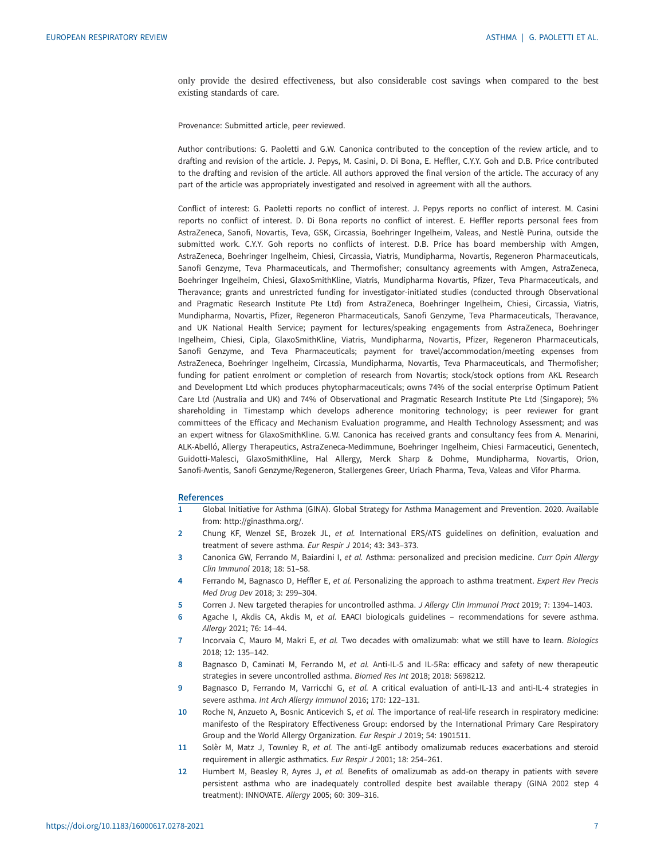<span id="page-6-0"></span>only provide the desired effectiveness, but also considerable cost savings when compared to the best existing standards of care.

Provenance: Submitted article, peer reviewed.

Author contributions: G. Paoletti and G.W. Canonica contributed to the conception of the review article, and to drafting and revision of the article. J. Pepys, M. Casini, D. Di Bona, E. Heffler, C.Y.Y. Goh and D.B. Price contributed to the drafting and revision of the article. All authors approved the final version of the article. The accuracy of any part of the article was appropriately investigated and resolved in agreement with all the authors.

Conflict of interest: G. Paoletti reports no conflict of interest. J. Pepys reports no conflict of interest. M. Casini reports no conflict of interest. D. Di Bona reports no conflict of interest. E. Heffler reports personal fees from AstraZeneca, Sanofi, Novartis, Teva, GSK, Circassia, Boehringer Ingelheim, Valeas, and Nestlè Purina, outside the submitted work. C.Y.Y. Goh reports no conflicts of interest. D.B. Price has board membership with Amgen, AstraZeneca, Boehringer Ingelheim, Chiesi, Circassia, Viatris, Mundipharma, Novartis, Regeneron Pharmaceuticals, Sanofi Genzyme, Teva Pharmaceuticals, and Thermofisher; consultancy agreements with Amgen, AstraZeneca, Boehringer Ingelheim, Chiesi, GlaxoSmithKline, Viatris, Mundipharma Novartis, Pfizer, Teva Pharmaceuticals, and Theravance; grants and unrestricted funding for investigator-initiated studies (conducted through Observational and Pragmatic Research Institute Pte Ltd) from AstraZeneca, Boehringer Ingelheim, Chiesi, Circassia, Viatris, Mundipharma, Novartis, Pfizer, Regeneron Pharmaceuticals, Sanofi Genzyme, Teva Pharmaceuticals, Theravance, and UK National Health Service; payment for lectures/speaking engagements from AstraZeneca, Boehringer Ingelheim, Chiesi, Cipla, GlaxoSmithKline, Viatris, Mundipharma, Novartis, Pfizer, Regeneron Pharmaceuticals, Sanofi Genzyme, and Teva Pharmaceuticals; payment for travel/accommodation/meeting expenses from AstraZeneca, Boehringer Ingelheim, Circassia, Mundipharma, Novartis, Teva Pharmaceuticals, and Thermofisher; funding for patient enrolment or completion of research from Novartis; stock/stock options from AKL Research and Development Ltd which produces phytopharmaceuticals; owns 74% of the social enterprise Optimum Patient Care Ltd (Australia and UK) and 74% of Observational and Pragmatic Research Institute Pte Ltd (Singapore); 5% shareholding in Timestamp which develops adherence monitoring technology; is peer reviewer for grant committees of the Efficacy and Mechanism Evaluation programme, and Health Technology Assessment; and was an expert witness for GlaxoSmithKline. G.W. Canonica has received grants and consultancy fees from A. Menarini, ALK-Abelló, Allergy Therapeutics, AstraZeneca-Medimmune, Boehringer Ingelheim, Chiesi Farmaceutici, Genentech, Guidotti-Malesci, GlaxoSmithKline, Hal Allergy, Merck Sharp & Dohme, Mundipharma, Novartis, Orion, Sanofi-Aventis, Sanofi Genzyme/Regeneron, Stallergenes Greer, Uriach Pharma, Teva, Valeas and Vifor Pharma.

#### References

- 1 Global Initiative for Asthma (GINA). Global Strategy for Asthma Management and Prevention. 2020. Available from:<http://ginasthma.org/>.
- 2 Chung KF, Wenzel SE, Brozek JL, et al. International ERS/ATS guidelines on definition, evaluation and treatment of severe asthma. Eur Respir J 2014; 43: 343–373.
- 3 Canonica GW, Ferrando M, Baiardini I, et al. Asthma: personalized and precision medicine. Curr Opin Allergy Clin Immunol 2018; 18: 51–58.
- 4 Ferrando M, Bagnasco D, Heffler E, et al. Personalizing the approach to asthma treatment. Expert Rev Precis Med Drug Dev 2018; 3: 299–304.
- 5 Corren J. New targeted therapies for uncontrolled asthma. J Allergy Clin Immunol Pract 2019; 7: 1394–1403.
- 6 Agache I, Akdis CA, Akdis M, et al. EAACI biologicals guidelines recommendations for severe asthma. Allergy 2021; 76: 14–44.
- 7 Incorvaia C, Mauro M, Makri E, et al. Two decades with omalizumab: what we still have to learn. Biologics 2018; 12: 135–142.
- 8 Bagnasco D, Caminati M, Ferrando M, et al. Anti-IL-5 and IL-5Ra: efficacy and safety of new therapeutic strategies in severe uncontrolled asthma. Biomed Res Int 2018; 2018: 5698212.
- 9 Bagnasco D, Ferrando M, Varricchi G, et al. A critical evaluation of anti-IL-13 and anti-IL-4 strategies in severe asthma. Int Arch Allergy Immunol 2016; 170: 122–131.
- 10 Roche N, Anzueto A, Bosnic Anticevich S, et al. The importance of real-life research in respiratory medicine: manifesto of the Respiratory Effectiveness Group: endorsed by the International Primary Care Respiratory Group and the World Allergy Organization. Eur Respir J 2019; 54: 1901511.
- 11 Solèr M, Matz J, Townley R, et al. The anti-IgE antibody omalizumab reduces exacerbations and steroid requirement in allergic asthmatics. Eur Respir J 2001; 18: 254–261.
- 12 Humbert M, Beasley R, Ayres J, et al. Benefits of omalizumab as add-on therapy in patients with severe persistent asthma who are inadequately controlled despite best available therapy (GINA 2002 step 4 treatment): INNOVATE. Allergy 2005; 60: 309–316.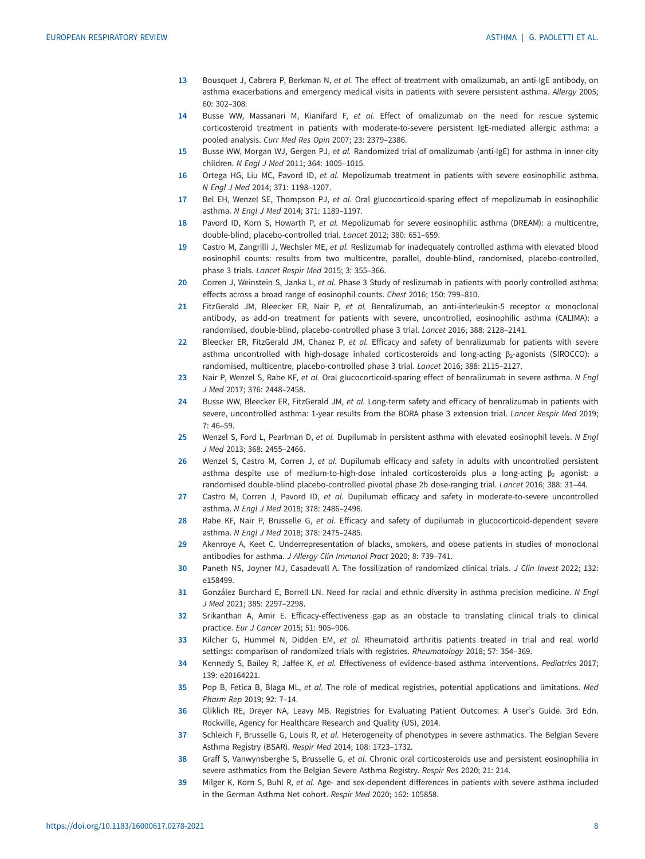- <span id="page-7-0"></span>13 Bousquet J, Cabrera P, Berkman N, et al. The effect of treatment with omalizumab, an anti-IgE antibody, on asthma exacerbations and emergency medical visits in patients with severe persistent asthma. Allergy 2005; 60: 302–308.
- 14 Busse WW, Massanari M, Kianifard F, et al. Effect of omalizumab on the need for rescue systemic corticosteroid treatment in patients with moderate-to-severe persistent IgE-mediated allergic asthma: a pooled analysis. Curr Med Res Opin 2007; 23: 2379–2386.
- 15 Busse WW, Morgan WJ, Gergen PJ, et al. Randomized trial of omalizumab (anti-IgE) for asthma in inner-city children. N Engl J Med 2011; 364: 1005–1015.
- 16 Ortega HG, Liu MC, Pavord ID, et al. Mepolizumab treatment in patients with severe eosinophilic asthma. N Engl J Med 2014; 371: 1198–1207.
- 17 Bel EH, Wenzel SE, Thompson PJ, et al. Oral glucocorticoid-sparing effect of mepolizumab in eosinophilic asthma. N Engl J Med 2014; 371: 1189–1197.
- 18 Pavord ID, Korn S, Howarth P, et al. Mepolizumab for severe eosinophilic asthma (DREAM): a multicentre, double-blind, placebo-controlled trial. Lancet 2012; 380: 651–659.
- 19 Castro M, Zangrilli J, Wechsler ME, et al. Reslizumab for inadequately controlled asthma with elevated blood eosinophil counts: results from two multicentre, parallel, double-blind, randomised, placebo-controlled, phase 3 trials. Lancet Respir Med 2015; 3: 355–366.
- 20 Corren J, Weinstein S, Janka L, et al. Phase 3 Study of reslizumab in patients with poorly controlled asthma: effects across a broad range of eosinophil counts. Chest 2016; 150: 799–810.
- 21 FitzGerald JM, Bleecker ER, Nair P, et al. Benralizumab, an anti-interleukin-5 receptor  $\alpha$  monoclonal antibody, as add-on treatment for patients with severe, uncontrolled, eosinophilic asthma (CALIMA): a randomised, double-blind, placebo-controlled phase 3 trial. Lancet 2016; 388: 2128–2141.
- 22 Bleecker ER, FitzGerald JM, Chanez P, et al. Efficacy and safety of benralizumab for patients with severe asthma uncontrolled with high-dosage inhaled corticosteroids and long-acting  $\beta_2$ -agonists (SIROCCO): a randomised, multicentre, placebo-controlled phase 3 trial. Lancet 2016; 388: 2115–2127.
- 23 Nair P, Wenzel S, Rabe KF, et al. Oral glucocorticoid-sparing effect of benralizumab in severe asthma. N Engl J Med 2017; 376: 2448–2458.
- 24 Busse WW, Bleecker ER, FitzGerald JM, et al. Long-term safety and efficacy of benralizumab in patients with severe, uncontrolled asthma: 1-year results from the BORA phase 3 extension trial. Lancet Respir Med 2019; 7: 46–59.
- 25 Wenzel S, Ford L, Pearlman D, et al. Dupilumab in persistent asthma with elevated eosinophil levels. N Engl J Med 2013; 368: 2455–2466.
- 26 Wenzel S, Castro M, Corren J, et al. Dupilumab efficacy and safety in adults with uncontrolled persistent asthma despite use of medium-to-high-dose inhaled corticosteroids plus a long-acting  $\beta_2$  agonist: a randomised double-blind placebo-controlled pivotal phase 2b dose-ranging trial. Lancet 2016; 388: 31–44.
- 27 Castro M, Corren J, Pavord ID, et al. Dupilumab efficacy and safety in moderate-to-severe uncontrolled asthma. N Engl J Med 2018; 378: 2486–2496.
- 28 Rabe KF, Nair P, Brusselle G, et al. Efficacy and safety of dupilumab in glucocorticoid-dependent severe asthma. N Engl J Med 2018; 378: 2475–2485.
- 29 Akenroye A, Keet C. Underrepresentation of blacks, smokers, and obese patients in studies of monoclonal antibodies for asthma. J Allergy Clin Immunol Pract 2020; 8: 739–741.
- 30 Paneth NS, Joyner MJ, Casadevall A. The fossilization of randomized clinical trials. J Clin Invest 2022; 132: e158499.
- 31 González Burchard E, Borrell LN. Need for racial and ethnic diversity in asthma precision medicine. N Engl J Med 2021; 385: 2297–2298.
- 32 Srikanthan A, Amir E. Efficacy-effectiveness gap as an obstacle to translating clinical trials to clinical practice. Eur J Cancer 2015; 51: 905–906.
- 33 Kilcher G, Hummel N, Didden EM, et al. Rheumatoid arthritis patients treated in trial and real world settings: comparison of randomized trials with registries. Rheumatology 2018; 57: 354–369.
- 34 Kennedy S, Bailey R, Jaffee K, et al. Effectiveness of evidence-based asthma interventions. Pediatrics 2017; 139: e20164221.
- 35 Pop B, Fetica B, Blaga ML, et al. The role of medical registries, potential applications and limitations. Med Pharm Rep 2019; 92: 7–14.
- 36 Gliklich RE, Dreyer NA, Leavy MB. Registries for Evaluating Patient Outcomes: A User's Guide. 3rd Edn. Rockville, Agency for Healthcare Research and Quality (US), 2014.
- 37 Schleich F, Brusselle G, Louis R, et al. Heterogeneity of phenotypes in severe asthmatics. The Belgian Severe Asthma Registry (BSAR). Respir Med 2014; 108: 1723–1732.
- 38 Graff S, Vanwynsberghe S, Brusselle G, et al. Chronic oral corticosteroids use and persistent eosinophilia in severe asthmatics from the Belgian Severe Asthma Registry. Respir Res 2020; 21: 214.
- 39 Milger K, Korn S, Buhl R, et al. Age- and sex-dependent differences in patients with severe asthma included in the German Asthma Net cohort. Respir Med 2020; 162: 105858.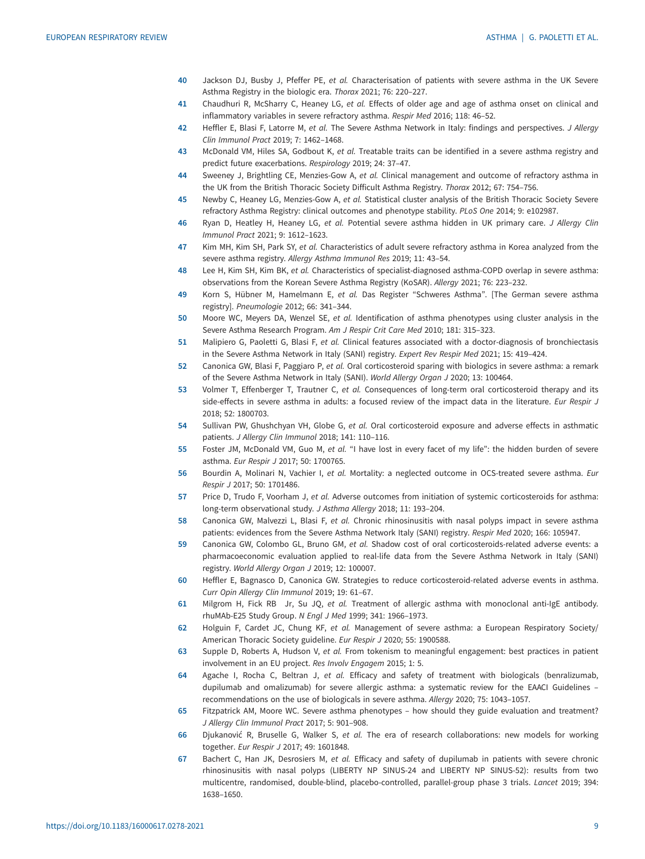- <span id="page-8-0"></span>40 Jackson DJ, Busby J, Pfeffer PE, et al. Characterisation of patients with severe asthma in the UK Severe Asthma Registry in the biologic era. Thorax 2021; 76: 220–227.
- 41 Chaudhuri R, McSharry C, Heaney LG, et al. Effects of older age and age of asthma onset on clinical and inflammatory variables in severe refractory asthma. Respir Med 2016; 118: 46–52.
- 42 Heffler E, Blasi F, Latorre M, et al. The Severe Asthma Network in Italy: findings and perspectives. J Allergy Clin Immunol Pract 2019; 7: 1462–1468.
- 43 McDonald VM, Hiles SA, Godbout K, et al. Treatable traits can be identified in a severe asthma registry and predict future exacerbations. Respirology 2019; 24: 37–47.
- 44 Sweeney J, Brightling CE, Menzies-Gow A, et al. Clinical management and outcome of refractory asthma in the UK from the British Thoracic Society Difficult Asthma Registry. Thorax 2012; 67: 754–756.
- 45 Newby C, Heaney LG, Menzies-Gow A, et al. Statistical cluster analysis of the British Thoracic Society Severe refractory Asthma Registry: clinical outcomes and phenotype stability. PLoS One 2014; 9: e102987.
- 46 Ryan D, Heatley H, Heaney LG, et al. Potential severe asthma hidden in UK primary care. J Allergy Clin Immunol Pract 2021; 9: 1612–1623.
- 47 Kim MH, Kim SH, Park SY, et al. Characteristics of adult severe refractory asthma in Korea analyzed from the severe asthma registry. Allergy Asthma Immunol Res 2019; 11: 43–54.
- 48 Lee H, Kim SH, Kim BK, et al. Characteristics of specialist-diagnosed asthma-COPD overlap in severe asthma: observations from the Korean Severe Asthma Registry (KoSAR). Allergy 2021; 76: 223–232.
- 49 Korn S, Hübner M, Hamelmann E, et al. Das Register "Schweres Asthma". [The German severe asthma registry]. Pneumologie 2012; 66: 341–344.
- 50 Moore WC, Meyers DA, Wenzel SE, et al. Identification of asthma phenotypes using cluster analysis in the Severe Asthma Research Program. Am J Respir Crit Care Med 2010; 181: 315–323.
- 51 Malipiero G, Paoletti G, Blasi F, et al. Clinical features associated with a doctor-diagnosis of bronchiectasis in the Severe Asthma Network in Italy (SANI) registry. Expert Rev Respir Med 2021; 15: 419–424.
- 52 Canonica GW, Blasi F, Paggiaro P, et al. Oral corticosteroid sparing with biologics in severe asthma: a remark of the Severe Asthma Network in Italy (SANI). World Allergy Organ J 2020; 13: 100464.
- 53 Volmer T, Effenberger T, Trautner C, et al. Consequences of long-term oral corticosteroid therapy and its side-effects in severe asthma in adults: a focused review of the impact data in the literature. Eur Respir J 2018; 52: 1800703.
- 54 Sullivan PW, Ghushchyan VH, Globe G, et al. Oral corticosteroid exposure and adverse effects in asthmatic patients. J Allergy Clin Immunol 2018; 141: 110–116.
- 55 Foster JM, McDonald VM, Guo M, et al. "I have lost in every facet of my life": the hidden burden of severe asthma. Eur Respir J 2017; 50: 1700765.
- 56 Bourdin A, Molinari N, Vachier I, et al. Mortality: a neglected outcome in OCS-treated severe asthma. Eur Respir J 2017; 50: 1701486.
- 57 Price D, Trudo F, Voorham J, et al. Adverse outcomes from initiation of systemic corticosteroids for asthma: long-term observational study. J Asthma Allergy 2018; 11: 193–204.
- 58 Canonica GW, Malvezzi L, Blasi F, et al. Chronic rhinosinusitis with nasal polyps impact in severe asthma patients: evidences from the Severe Asthma Network Italy (SANI) registry. Respir Med 2020; 166: 105947.
- 59 Canonica GW, Colombo GL, Bruno GM, et al. Shadow cost of oral corticosteroids-related adverse events: a pharmacoeconomic evaluation applied to real-life data from the Severe Asthma Network in Italy (SANI) registry. World Allergy Organ J 2019; 12: 100007.
- 60 Heffler E, Bagnasco D, Canonica GW. Strategies to reduce corticosteroid-related adverse events in asthma. Curr Opin Allergy Clin Immunol 2019; 19: 61–67.
- 61 Milgrom H, Fick RB Jr, Su JQ, et al. Treatment of allergic asthma with monoclonal anti-IgE antibody. rhuMAb-E25 Study Group. N Engl J Med 1999; 341: 1966–1973.
- 62 Holguin F, Cardet JC, Chung KF, et al. Management of severe asthma: a European Respiratory Society/ American Thoracic Society guideline. Eur Respir J 2020; 55: 1900588.
- 63 Supple D, Roberts A, Hudson V, et al. From tokenism to meaningful engagement: best practices in patient involvement in an EU project. Res Involv Engagem 2015; 1: 5.
- 64 Agache I, Rocha C, Beltran J, et al. Efficacy and safety of treatment with biologicals (benralizumab, dupilumab and omalizumab) for severe allergic asthma: a systematic review for the EAACI Guidelines – recommendations on the use of biologicals in severe asthma. Allergy 2020; 75: 1043–1057.
- 65 Fitzpatrick AM, Moore WC. Severe asthma phenotypes how should they guide evaluation and treatment? J Allergy Clin Immunol Pract 2017; 5: 901–908.
- 66 Djukanović R, Bruselle G, Walker S, et al. The era of research collaborations: new models for working together. Eur Respir J 2017; 49: 1601848.
- 67 Bachert C, Han JK, Desrosiers M, et al. Efficacy and safety of dupilumab in patients with severe chronic rhinosinusitis with nasal polyps (LIBERTY NP SINUS-24 and LIBERTY NP SINUS-52): results from two multicentre, randomised, double-blind, placebo-controlled, parallel-group phase 3 trials. Lancet 2019; 394: 1638–1650.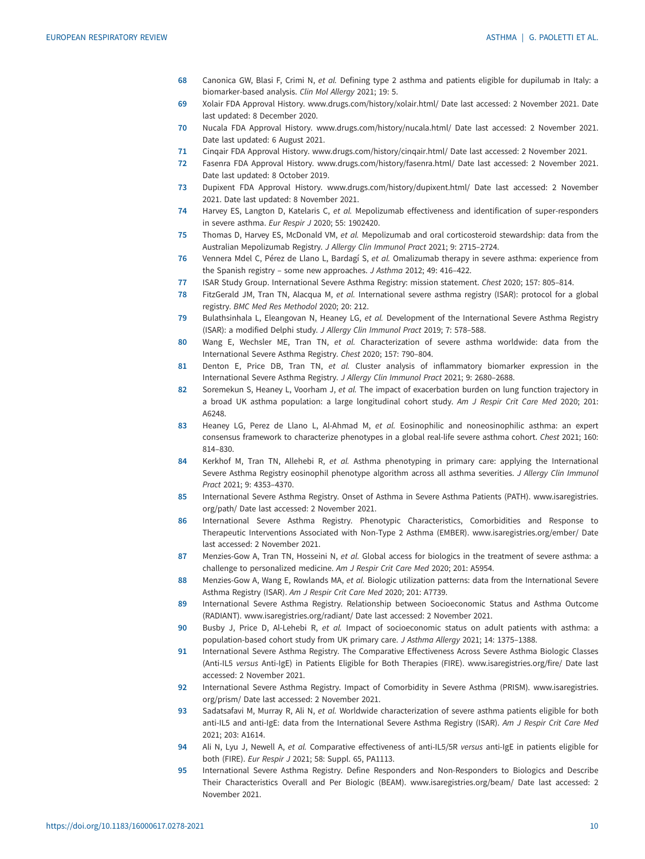- <span id="page-9-0"></span>68 Canonica GW, Blasi F, Crimi N, et al. Defining type 2 asthma and patients eligible for dupilumab in Italy: a biomarker-based analysis. Clin Mol Allergy 2021; 19: 5.
- 69 Xolair FDA Approval History. [www.drugs.com/history/xolair.html/](http://www.drugs.com/history/xolair.html/) Date last accessed: 2 November 2021. Date last updated: 8 December 2020.
- 70 Nucala FDA Approval History. [www.drugs.com/history/nucala.html/](http://www.drugs.com/history/nucala.html/) Date last accessed: 2 November 2021. Date last updated: 6 August 2021.
- 71 Cinqair FDA Approval History. [www.drugs.com/history/cinqair.html/](http://www.drugs.com/history/cinqair.html/) Date last accessed: 2 November 2021.
- 72 Fasenra FDA Approval History. [www.drugs.com/history/fasenra.html/](http://www.drugs.com/history/fasenra.html/) Date last accessed: 2 November 2021. Date last updated: 8 October 2019.
- 73 Dupixent FDA Approval History. [www.drugs.com/history/dupixent.html/](http://www.drugs.com/history/dupixent.html/) Date last accessed: 2 November 2021. Date last updated: 8 November 2021.
- 74 Harvey ES, Langton D, Katelaris C, et al. Mepolizumab effectiveness and identification of super-responders in severe asthma. Eur Respir J 2020; 55: 1902420.
- 75 Thomas D, Harvey ES, McDonald VM, et al. Mepolizumab and oral corticosteroid stewardship: data from the Australian Mepolizumab Registry. J Allergy Clin Immunol Pract 2021; 9: 2715–2724.
- 76 Vennera Mdel C, Pérez de Llano L, Bardagí S, et al. Omalizumab therapy in severe asthma: experience from the Spanish registry – some new approaches. J Asthma 2012; 49: 416–422.
- 77 ISAR Study Group. International Severe Asthma Registry: mission statement. Chest 2020; 157: 805–814.
- 78 FitzGerald JM, Tran TN, Alacqua M, et al. International severe asthma registry (ISAR): protocol for a global registry. BMC Med Res Methodol 2020; 20: 212.
- 79 Bulathsinhala L, Eleangovan N, Heaney LG, et al. Development of the International Severe Asthma Registry (ISAR): a modified Delphi study. J Allergy Clin Immunol Pract 2019; 7: 578–588.
- 80 Wang E, Wechsler ME, Tran TN, et al. Characterization of severe asthma worldwide: data from the International Severe Asthma Registry. Chest 2020; 157: 790–804.
- 81 Denton E, Price DB, Tran TN, et al. Cluster analysis of inflammatory biomarker expression in the International Severe Asthma Registry. J Allergy Clin Immunol Pract 2021; 9: 2680–2688.
- 82 Soremekun S, Heaney L, Voorham J, et al. The impact of exacerbation burden on lung function trajectory in a broad UK asthma population: a large longitudinal cohort study. Am J Respir Crit Care Med 2020; 201: A6248.
- 83 Heaney LG, Perez de Llano L, Al-Ahmad M, et al. Eosinophilic and noneosinophilic asthma: an expert consensus framework to characterize phenotypes in a global real-life severe asthma cohort. Chest 2021; 160: 814–830.
- 84 Kerkhof M, Tran TN, Allehebi R, et al. Asthma phenotyping in primary care: applying the International Severe Asthma Registry eosinophil phenotype algorithm across all asthma severities. J Allergy Clin Immunol Pract 2021; 9: 4353–4370.
- 85 International Severe Asthma Registry. Onset of Asthma in Severe Asthma Patients (PATH). [www.isaregistries.](http://www.isaregistries.org/path/) [org/path/](http://www.isaregistries.org/path/) Date last accessed: 2 November 2021.
- 86 International Severe Asthma Registry. Phenotypic Characteristics, Comorbidities and Response to Therapeutic Interventions Associated with Non-Type 2 Asthma (EMBER). [www.isaregistries.org/ember/](http://www.isaregistries.org/ember/) Date last accessed: 2 November 2021.
- 87 Menzies-Gow A, Tran TN, Hosseini N, et al. Global access for biologics in the treatment of severe asthma: a challenge to personalized medicine. Am J Respir Crit Care Med 2020; 201: A5954.
- 88 Menzies-Gow A, Wang E, Rowlands MA, et al. Biologic utilization patterns: data from the International Severe Asthma Registry (ISAR). Am J Respir Crit Care Med 2020; 201: A7739.
- 89 International Severe Asthma Registry. Relationship between Socioeconomic Status and Asthma Outcome (RADIANT). [www.isaregistries.org/radiant/](http://www.isaregistries.org/radiant/) Date last accessed: 2 November 2021.
- 90 Busby J, Price D, Al-Lehebi R, et al. Impact of socioeconomic status on adult patients with asthma: a population-based cohort study from UK primary care. J Asthma Allergy 2021; 14: 1375–1388.
- 91 International Severe Asthma Registry. The Comparative Effectiveness Across Severe Asthma Biologic Classes (Anti-IL5 versus Anti-IgE) in Patients Eligible for Both Therapies (FIRE). [www.isaregistries.org/fire/](http://www.isaregistries.org/fire/) Date last accessed: 2 November 2021.
- 92 International Severe Asthma Registry. Impact of Comorbidity in Severe Asthma (PRISM). [www.isaregistries.](http://www.isaregistries.org/prism/) [org/prism/](http://www.isaregistries.org/prism/) Date last accessed: 2 November 2021.
- 93 Sadatsafavi M, Murray R, Ali N, et al. Worldwide characterization of severe asthma patients eligible for both anti-IL5 and anti-IgE: data from the International Severe Asthma Registry (ISAR). Am J Respir Crit Care Med 2021; 203: A1614.
- 94 Ali N, Lyu J, Newell A, et al. Comparative effectiveness of anti-IL5/5R versus anti-IgE in patients eligible for both (FIRE). Eur Respir J 2021; 58: Suppl. 65, PA1113.
- 95 International Severe Asthma Registry. Define Responders and Non-Responders to Biologics and Describe Their Characteristics Overall and Per Biologic (BEAM). [www.isaregistries.org/beam/](http://www.isaregistries.org/beam/) Date last accessed: 2 November 2021.